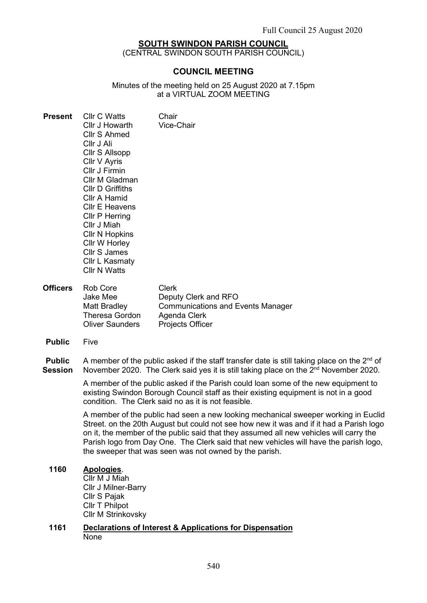## SOUTH SWINDON PARISH COUNCIL

(CENTRAL SWINDON SOUTH PARISH COUNCIL)

## COUNCIL MEETING

Minutes of the meeting held on 25 August 2020 at 7.15pm at a VIRTUAL ZOOM MEETING

| <b>Present</b>  | <b>Cllr C Watts</b><br>Cllr J Howarth<br>Cllr S Ahmed<br>Cllr J Ali<br>Cllr S Allsopp<br>Cllr V Ayris<br>Cllr J Firmin<br>Cllr M Gladman<br><b>CIIr D Griffiths</b><br>Cllr A Hamid<br>Cllr E Heavens<br>Cllr P Herring<br>Cllr J Miah<br><b>CIIr N Hopkins</b><br>Cllr W Horley<br><b>Cllr S James</b><br>Cllr L Kasmaty<br><b>Cllr N Watts</b> | Chair<br>Vice-Chair                                                                                                         |
|-----------------|--------------------------------------------------------------------------------------------------------------------------------------------------------------------------------------------------------------------------------------------------------------------------------------------------------------------------------------------------|-----------------------------------------------------------------------------------------------------------------------------|
| <b>Officers</b> | <b>Rob Core</b><br>Jake Mee<br>Matt Bradley<br><b>Theresa Gordon</b><br><b>Oliver Saunders</b>                                                                                                                                                                                                                                                   | <b>Clerk</b><br>Deputy Clerk and RFO<br><b>Communications and Events Manager</b><br>Agenda Clerk<br><b>Projects Officer</b> |

Public Five

Public Session A member of the public asked if the staff transfer date is still taking place on the  $2<sup>nd</sup>$  of November 2020. The Clerk said yes it is still taking place on the 2<sup>nd</sup> November 2020.

> A member of the public asked if the Parish could loan some of the new equipment to existing Swindon Borough Council staff as their existing equipment is not in a good condition. The Clerk said no as it is not feasible.

A member of the public had seen a new looking mechanical sweeper working in Euclid Street. on the 20th August but could not see how new it was and if it had a Parish logo on it, the member of the public said that they assumed all new vehicles will carry the Parish logo from Day One. The Clerk said that new vehicles will have the parish logo, the sweeper that was seen was not owned by the parish.

## 1160 Apologies.

Cllr M J Miah Cllr J Milner-Barry Cllr S Pajak Cllr T Philpot Cllr M Strinkovsky

#### 1161 Declarations of Interest & Applications for Dispensation None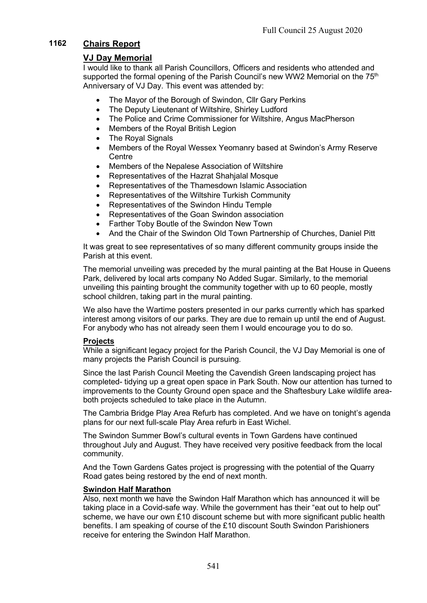# 1162 Chairs Report

# VJ Day Memorial

I would like to thank all Parish Councillors, Officers and residents who attended and supported the formal opening of the Parish Council's new WW2 Memorial on the  $75<sup>th</sup>$ Anniversary of VJ Day. This event was attended by:

- The Mayor of the Borough of Swindon, Cllr Gary Perkins
- The Deputy Lieutenant of Wiltshire, Shirley Ludford
- The Police and Crime Commissioner for Wiltshire, Angus MacPherson
- Members of the Royal British Legion
- The Royal Signals
- Members of the Royal Wessex Yeomanry based at Swindon's Army Reserve **Centre**
- Members of the Nepalese Association of Wiltshire
- Representatives of the Hazrat Shahjalal Mosque
- Representatives of the Thamesdown Islamic Association
- Representatives of the Wiltshire Turkish Community
- Representatives of the Swindon Hindu Temple
- Representatives of the Goan Swindon association
- Farther Toby Boutle of the Swindon New Town
- And the Chair of the Swindon Old Town Partnership of Churches, Daniel Pitt

It was great to see representatives of so many different community groups inside the Parish at this event.

The memorial unveiling was preceded by the mural painting at the Bat House in Queens Park, delivered by local arts company No Added Sugar. Similarly, to the memorial unveiling this painting brought the community together with up to 60 people, mostly school children, taking part in the mural painting.

We also have the Wartime posters presented in our parks currently which has sparked interest among visitors of our parks. They are due to remain up until the end of August. For anybody who has not already seen them I would encourage you to do so.

## **Projects**

While a significant legacy project for the Parish Council, the VJ Day Memorial is one of many projects the Parish Council is pursuing.

Since the last Parish Council Meeting the Cavendish Green landscaping project has completed- tidying up a great open space in Park South. Now our attention has turned to improvements to the County Ground open space and the Shaftesbury Lake wildlife areaboth projects scheduled to take place in the Autumn.

The Cambria Bridge Play Area Refurb has completed. And we have on tonight's agenda plans for our next full-scale Play Area refurb in East Wichel.

The Swindon Summer Bowl's cultural events in Town Gardens have continued throughout July and August. They have received very positive feedback from the local community.

And the Town Gardens Gates project is progressing with the potential of the Quarry Road gates being restored by the end of next month.

## Swindon Half Marathon

Also, next month we have the Swindon Half Marathon which has announced it will be taking place in a Covid-safe way. While the government has their "eat out to help out" scheme, we have our own  $£10$  discount scheme but with more significant public health benefits. I am speaking of course of the £10 discount South Swindon Parishioners receive for entering the Swindon Half Marathon.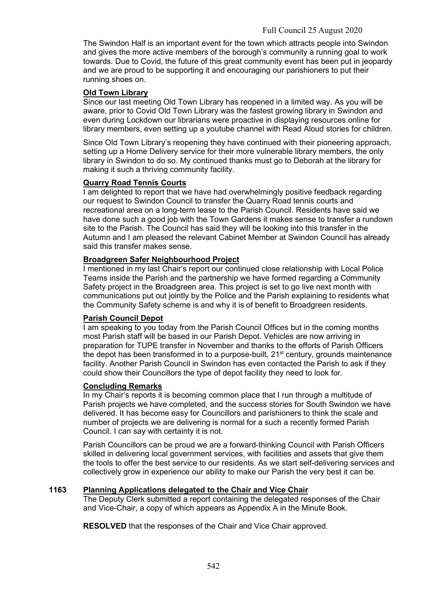The Swindon Half is an important event for the town which attracts people into Swindon and gives the more active members of the borough's community a running goal to work towards. Due to Covid, the future of this great community event has been put in jeopardy and we are proud to be supporting it and encouraging our parishioners to put their running shoes on.

## Old Town Library

Since our last meeting Old Town Library has reopened in a limited way. As you will be aware, prior to Covid Old Town Library was the fastest growing library in Swindon and even during Lockdown our librarians were proactive in displaying resources online for library members, even setting up a youtube channel with Read Aloud stories for children.

Since Old Town Library's reopening they have continued with their pioneering approach, setting up a Home Delivery service for their more vulnerable library members, the only library in Swindon to do so. My continued thanks must go to Deborah at the library for making it such a thriving community facility.

## Quarry Road Tennis Courts

I am delighted to report that we have had overwhelmingly positive feedback regarding our request to Swindon Council to transfer the Quarry Road tennis courts and recreational area on a long-term lease to the Parish Council. Residents have said we have done such a good job with the Town Gardens it makes sense to transfer a rundown site to the Parish. The Council has said they will be looking into this transfer in the Autumn and I am pleased the relevant Cabinet Member at Swindon Council has already said this transfer makes sense.

## Broadgreen Safer Neighbourhood Project

I mentioned in my last Chair's report our continued close relationship with Local Police Teams inside the Parish and the partnership we have formed regarding a Community Safety project in the Broadgreen area. This project is set to go live next month with communications put out jointly by the Police and the Parish explaining to residents what the Community Safety scheme is and why it is of benefit to Broadgreen residents.

## Parish Council Depot

I am speaking to you today from the Parish Council Offices but in the coming months most Parish staff will be based in our Parish Depot. Vehicles are now arriving in preparation for TUPE transfer in November and thanks to the efforts of Parish Officers the depot has been transformed in to a purpose-built, 21<sup>st</sup> century, grounds maintenance facility. Another Parish Council in Swindon has even contacted the Parish to ask if they could show their Councillors the type of depot facility they need to look for.

## Concluding Remarks

In my Chair's reports it is becoming common place that I run through a multitude of Parish projects we have completed, and the success stories for South Swindon we have delivered. It has become easy for Councillors and parishioners to think the scale and number of projects we are delivering is normal for a such a recently formed Parish Council. I can say with certainty it is not.

Parish Councillors can be proud we are a forward-thinking Council with Parish Officers skilled in delivering local government services, with facilities and assets that give them the tools to offer the best service to our residents. As we start self-delivering services and collectively grow in experience our ability to make our Parish the very best it can be.

## 1163 Planning Applications delegated to the Chair and Vice Chair

The Deputy Clerk submitted a report containing the delegated responses of the Chair and Vice-Chair, a copy of which appears as Appendix A in the Minute Book.

RESOLVED that the responses of the Chair and Vice Chair approved.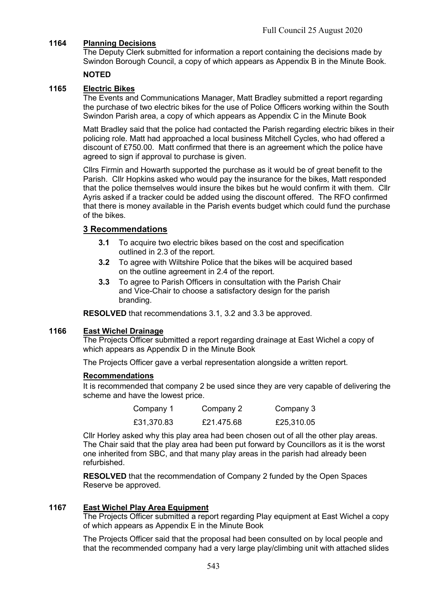# 1164 Planning Decisions

The Deputy Clerk submitted for information a report containing the decisions made by Swindon Borough Council, a copy of which appears as Appendix B in the Minute Book.

## NOTED

# 1165 Electric Bikes

The Events and Communications Manager, Matt Bradley submitted a report regarding the purchase of two electric bikes for the use of Police Officers working within the South Swindon Parish area, a copy of which appears as Appendix C in the Minute Book

Matt Bradley said that the police had contacted the Parish regarding electric bikes in their policing role. Matt had approached a local business Mitchell Cycles, who had offered a discount of £750.00. Matt confirmed that there is an agreement which the police have agreed to sign if approval to purchase is given.

Cllrs Firmin and Howarth supported the purchase as it would be of great benefit to the Parish. Cllr Hopkins asked who would pay the insurance for the bikes, Matt responded that the police themselves would insure the bikes but he would confirm it with them. Cllr Ayris asked if a tracker could be added using the discount offered. The RFO confirmed that there is money available in the Parish events budget which could fund the purchase of the bikes.

## 3 Recommendations

- 3.1 To acquire two electric bikes based on the cost and specification outlined in 2.3 of the report.
- 3.2 To agree with Wiltshire Police that the bikes will be acquired based on the outline agreement in 2.4 of the report.
- 3.3 To agree to Parish Officers in consultation with the Parish Chair and Vice-Chair to choose a satisfactory design for the parish branding.

RESOLVED that recommendations 3.1, 3.2 and 3.3 be approved.

#### 1166 East Wichel Drainage

The Projects Officer submitted a report regarding drainage at East Wichel a copy of which appears as Appendix D in the Minute Book

The Projects Officer gave a verbal representation alongside a written report.

#### Recommendations

It is recommended that company 2 be used since they are very capable of delivering the scheme and have the lowest price.

| Company 1  | Company 2  | Company 3  |
|------------|------------|------------|
| £31,370.83 | £21.475.68 | £25,310.05 |

Cllr Horley asked why this play area had been chosen out of all the other play areas. The Chair said that the play area had been put forward by Councillors as it is the worst one inherited from SBC, and that many play areas in the parish had already been refurbished.

RESOLVED that the recommendation of Company 2 funded by the Open Spaces Reserve be approved.

## 1167 East Wichel Play Area Equipment

The Projects Officer submitted a report regarding Play equipment at East Wichel a copy of which appears as Appendix E in the Minute Book

The Projects Officer said that the proposal had been consulted on by local people and that the recommended company had a very large play/climbing unit with attached slides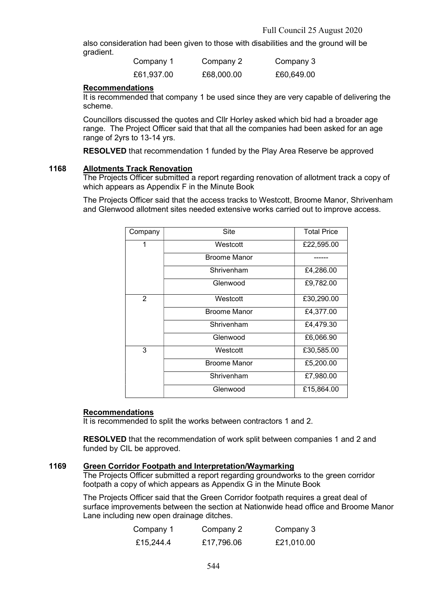also consideration had been given to those with disabilities and the ground will be gradient.

| Company 1  | Company 2  | Company 3  |
|------------|------------|------------|
| £61,937.00 | £68,000.00 | £60,649.00 |

### Recommendations

It is recommended that company 1 be used since they are very capable of delivering the scheme.

Councillors discussed the quotes and Cllr Horley asked which bid had a broader age range. The Project Officer said that that all the companies had been asked for an age range of 2yrs to 13-14 yrs.

RESOLVED that recommendation 1 funded by the Play Area Reserve be approved

### 1168 Allotments Track Renovation

The Projects Officer submitted a report regarding renovation of allotment track a copy of which appears as Appendix F in the Minute Book

The Projects Officer said that the access tracks to Westcott, Broome Manor, Shrivenham and Glenwood allotment sites needed extensive works carried out to improve access.

| Company | Site                | <b>Total Price</b> |
|---------|---------------------|--------------------|
| 1       | Westcott            | £22,595.00         |
|         | <b>Broome Manor</b> |                    |
|         | Shrivenham          | £4,286.00          |
|         | Glenwood            | £9,782.00          |
| 2       | Westcott            | £30,290.00         |
|         | <b>Broome Manor</b> | £4,377.00          |
|         | Shrivenham          | £4,479.30          |
|         | Glenwood            | £6,066.90          |
| 3       | Westcott            | £30,585.00         |
|         | <b>Broome Manor</b> | £5,200.00          |
|         | Shrivenham          | £7,980.00          |
|         | Glenwood            | £15,864.00         |

## Recommendations

It is recommended to split the works between contractors 1 and 2.

RESOLVED that the recommendation of work split between companies 1 and 2 and funded by CIL be approved.

#### 1169 Green Corridor Footpath and Interpretation/Waymarking

The Projects Officer submitted a report regarding groundworks to the green corridor footpath a copy of which appears as Appendix G in the Minute Book

The Projects Officer said that the Green Corridor footpath requires a great deal of surface improvements between the section at Nationwide head office and Broome Manor Lane including new open drainage ditches.

| Company 1 | Company 2  | Company 3  |
|-----------|------------|------------|
| £15,244.4 | £17,796.06 | £21,010.00 |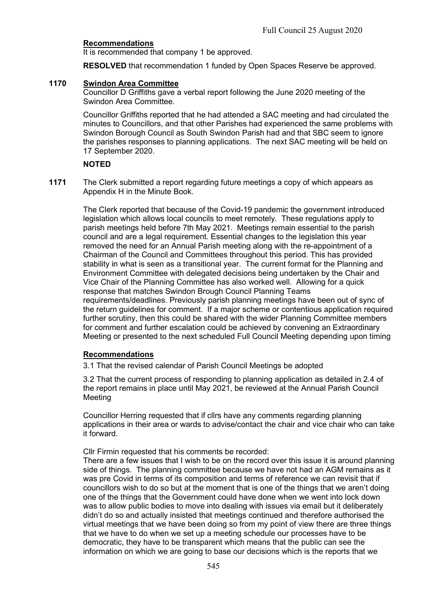## Recommendations

It is recommended that company 1 be approved.

RESOLVED that recommendation 1 funded by Open Spaces Reserve be approved.

## 1170 Swindon Area Committee

Councillor D Griffiths gave a verbal report following the June 2020 meeting of the Swindon Area Committee.

Councillor Griffiths reported that he had attended a SAC meeting and had circulated the minutes to Councillors, and that other Parishes had experienced the same problems with Swindon Borough Council as South Swindon Parish had and that SBC seem to ignore the parishes responses to planning applications. The next SAC meeting will be held on 17 September 2020.

### **NOTED**

1171 The Clerk submitted a report regarding future meetings a copy of which appears as Appendix H in the Minute Book.

> The Clerk reported that because of the Covid-19 pandemic the government introduced legislation which allows local councils to meet remotely. These regulations apply to parish meetings held before 7th May 2021. Meetings remain essential to the parish council and are a legal requirement. Essential changes to the legislation this year removed the need for an Annual Parish meeting along with the re-appointment of a Chairman of the Council and Committees throughout this period. This has provided stability in what is seen as a transitional year. The current format for the Planning and Environment Committee with delegated decisions being undertaken by the Chair and Vice Chair of the Planning Committee has also worked well. Allowing for a quick response that matches Swindon Brough Council Planning Teams requirements/deadlines. Previously parish planning meetings have been out of sync of the return guidelines for comment. If a major scheme or contentious application required further scrutiny, then this could be shared with the wider Planning Committee members for comment and further escalation could be achieved by convening an Extraordinary Meeting or presented to the next scheduled Full Council Meeting depending upon timing

## Recommendations

3.1 That the revised calendar of Parish Council Meetings be adopted

3.2 That the current process of responding to planning application as detailed in 2.4 of the report remains in place until May 2021, be reviewed at the Annual Parish Council Meeting

Councillor Herring requested that if cllrs have any comments regarding planning applications in their area or wards to advise/contact the chair and vice chair who can take it forward.

Cllr Firmin requested that his comments be recorded:

There are a few issues that I wish to be on the record over this issue it is around planning side of things. The planning committee because we have not had an AGM remains as it was pre Covid in terms of its composition and terms of reference we can revisit that if councillors wish to do so but at the moment that is one of the things that we aren't doing one of the things that the Government could have done when we went into lock down was to allow public bodies to move into dealing with issues via email but it deliberately didn't do so and actually insisted that meetings continued and therefore authorised the virtual meetings that we have been doing so from my point of view there are three things that we have to do when we set up a meeting schedule our processes have to be democratic, they have to be transparent which means that the public can see the information on which we are going to base our decisions which is the reports that we